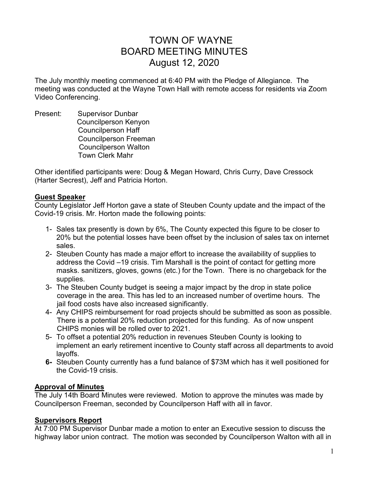# TOWN OF WAYNE BOARD MEETING MINUTES August 12, 2020

The July monthly meeting commenced at 6:40 PM with the Pledge of Allegiance. The meeting was conducted at the Wayne Town Hall with remote access for residents via Zoom Video Conferencing.

Present: Supervisor Dunbar Councilperson Kenyon Councilperson Haff Councilperson Freeman Councilperson Walton Town Clerk Mahr

Other identified participants were: Doug & Megan Howard, Chris Curry, Dave Cressock (Harter Secrest), Jeff and Patricia Horton.

## **Guest Speaker**

County Legislator Jeff Horton gave a state of Steuben County update and the impact of the Covid-19 crisis. Mr. Horton made the following points:

- 1- Sales tax presently is down by 6%, The County expected this figure to be closer to 20% but the potential losses have been offset by the inclusion of sales tax on internet sales.
- 2- Steuben County has made a major effort to increase the availability of supplies to address the Covid –19 crisis. Tim Marshall is the point of contact for getting more masks. sanitizers, gloves, gowns (etc.) for the Town. There is no chargeback for the supplies.
- 3- The Steuben County budget is seeing a major impact by the drop in state police coverage in the area. This has led to an increased number of overtime hours. The jail food costs have also increased significantly.
- 4- Any CHIPS reimbursement for road projects should be submitted as soon as possible. There is a potential 20% reduction projected for this funding. As of now unspent CHIPS monies will be rolled over to 2021.
- 5- To offset a potential 20% reduction in revenues Steuben County is looking to implement an early retirement incentive to County staff across all departments to avoid layoffs.
- **6-** Steuben County currently has a fund balance of \$73M which has it well positioned for the Covid-19 crisis.

# **Approval of Minutes**

The July 14th Board Minutes were reviewed. Motion to approve the minutes was made by Councilperson Freeman, seconded by Councilperson Haff with all in favor.

# **Supervisors Report**

At 7:00 PM Supervisor Dunbar made a motion to enter an Executive session to discuss the highway labor union contract. The motion was seconded by Councilperson Walton with all in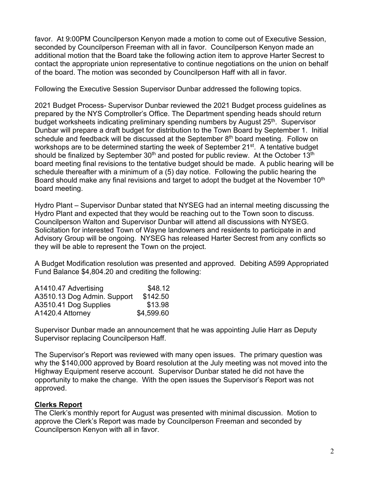favor. At 9:00PM Councilperson Kenyon made a motion to come out of Executive Session, seconded by Councilperson Freeman with all in favor. Councilperson Kenyon made an additional motion that the Board take the following action item to approve Harter Secrest to contact the appropriate union representative to continue negotiations on the union on behalf of the board. The motion was seconded by Councilperson Haff with all in favor.

Following the Executive Session Supervisor Dunbar addressed the following topics.

2021 Budget Process- Supervisor Dunbar reviewed the 2021 Budget process guidelines as prepared by the NYS Comptroller's Office. The Department spending heads should return budget worksheets indicating preliminary spending numbers by August 25<sup>th</sup>. Supervisor Dunbar will prepare a draft budget for distribution to the Town Board by September 1. Initial schedule and feedback will be discussed at the September  $8<sup>th</sup>$  board meeting. Follow on workshops are to be determined starting the week of September 21<sup>st</sup>. A tentative budget should be finalized by September  $30<sup>th</sup>$  and posted for public review. At the October 13<sup>th</sup> board meeting final revisions to the tentative budget should be made. A public hearing will be schedule thereafter with a minimum of a (5) day notice. Following the public hearing the Board should make any final revisions and target to adopt the budget at the November 10<sup>th</sup> board meeting.

Hydro Plant – Supervisor Dunbar stated that NYSEG had an internal meeting discussing the Hydro Plant and expected that they would be reaching out to the Town soon to discuss. Councilperson Walton and Supervisor Dunbar will attend all discussions with NYSEG. Solicitation for interested Town of Wayne landowners and residents to participate in and Advisory Group will be ongoing. NYSEG has released Harter Secrest from any conflicts so they will be able to represent the Town on the project.

A Budget Modification resolution was presented and approved. Debiting A599 Appropriated Fund Balance \$4,804.20 and crediting the following:

| A1410.47 Advertising        | \$48.12    |
|-----------------------------|------------|
| A3510.13 Dog Admin. Support | \$142.50   |
| A3510.41 Dog Supplies       | \$13.98    |
| A1420.4 Attorney            | \$4,599.60 |

Supervisor Dunbar made an announcement that he was appointing Julie Harr as Deputy Supervisor replacing Councilperson Haff.

The Supervisor's Report was reviewed with many open issues. The primary question was why the \$140,000 approved by Board resolution at the July meeting was not moved into the Highway Equipment reserve account. Supervisor Dunbar stated he did not have the opportunity to make the change. With the open issues the Supervisor's Report was not approved.

# **Clerks Report**

The Clerk's monthly report for August was presented with minimal discussion. Motion to approve the Clerk's Report was made by Councilperson Freeman and seconded by Councilperson Kenyon with all in favor.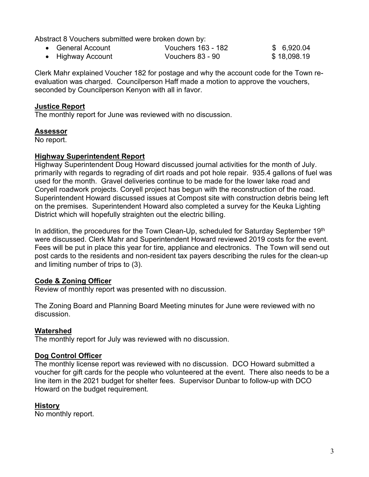Abstract 8 Vouchers submitted were broken down by:

| • General Account | Vouchers 163 - 182 | \$6,920.04  |
|-------------------|--------------------|-------------|
| • Highway Account | Vouchers 83 - 90   | \$18,098.19 |

Clerk Mahr explained Voucher 182 for postage and why the account code for the Town reevaluation was charged. Councilperson Haff made a motion to approve the vouchers, seconded by Councilperson Kenyon with all in favor.

### **Justice Report**

The monthly report for June was reviewed with no discussion.

## **Assessor**

No report.

## **Highway Superintendent Report**

Highway Superintendent Doug Howard discussed journal activities for the month of July. primarily with regards to regrading of dirt roads and pot hole repair. 935.4 gallons of fuel was used for the month. Gravel deliveries continue to be made for the lower lake road and Coryell roadwork projects. Coryell project has begun with the reconstruction of the road. Superintendent Howard discussed issues at Compost site with construction debris being left on the premises. Superintendent Howard also completed a survey for the Keuka Lighting District which will hopefully straighten out the electric billing.

In addition, the procedures for the Town Clean-Up, scheduled for Saturday September 19th were discussed. Clerk Mahr and Superintendent Howard reviewed 2019 costs for the event. Fees will be put in place this year for tire, appliance and electronics. The Town will send out post cards to the residents and non-resident tax payers describing the rules for the clean-up and limiting number of trips to (3).

# **Code & Zoning Officer**

Review of monthly report was presented with no discussion.

The Zoning Board and Planning Board Meeting minutes for June were reviewed with no discussion.

#### **Watershed**

The monthly report for July was reviewed with no discussion.

#### **Dog Control Officer**

The monthly license report was reviewed with no discussion. DCO Howard submitted a voucher for gift cards for the people who volunteered at the event. There also needs to be a line item in the 2021 budget for shelter fees. Supervisor Dunbar to follow-up with DCO Howard on the budget requirement.

# **History**

No monthly report.